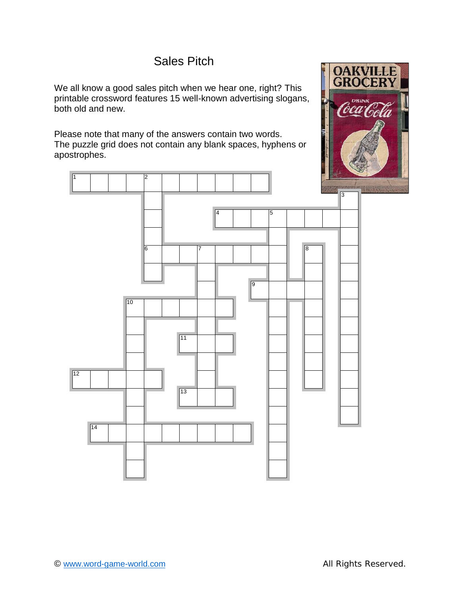# Sales Pitch

We all know a good sales pitch when we hear one, right? This  $\|\cdot\|$ printable crossword features 15 well-known advertising slogans, both old and new.

Please note that many of the answers contain two words. The puzzle grid does not contain any blank spaces, hyphens or apostrophes.



**DRINK** (oca Cola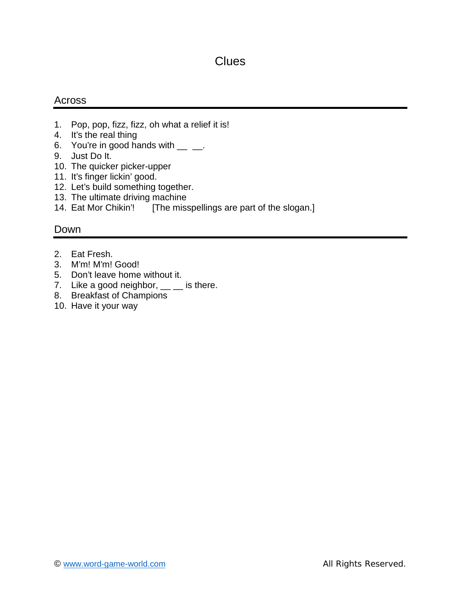## **Clues**

#### Across

- 1. Pop, pop, fizz, fizz, oh what a relief it is!
- 4. It's the real thing
- 6. You're in good hands with  $\frac{1}{2}$   $\frac{1}{2}$ .
- 9. Just Do It.
- 10. The quicker picker-upper
- 11. It's finger lickin' good.
- 12. Let's build something together.
- 13. The ultimate driving machine
- 14. Eat Mor Chikin'! [The misspellings are part of the slogan.]

#### Down

- 2. Eat Fresh.
- 3. M'm! M'm! Good!
- 5. Don't leave home without it.
- 7. Like a good neighbor,  $\frac{1}{1}$  is there.
- 8. Breakfast of Champions
- 10. Have it your way